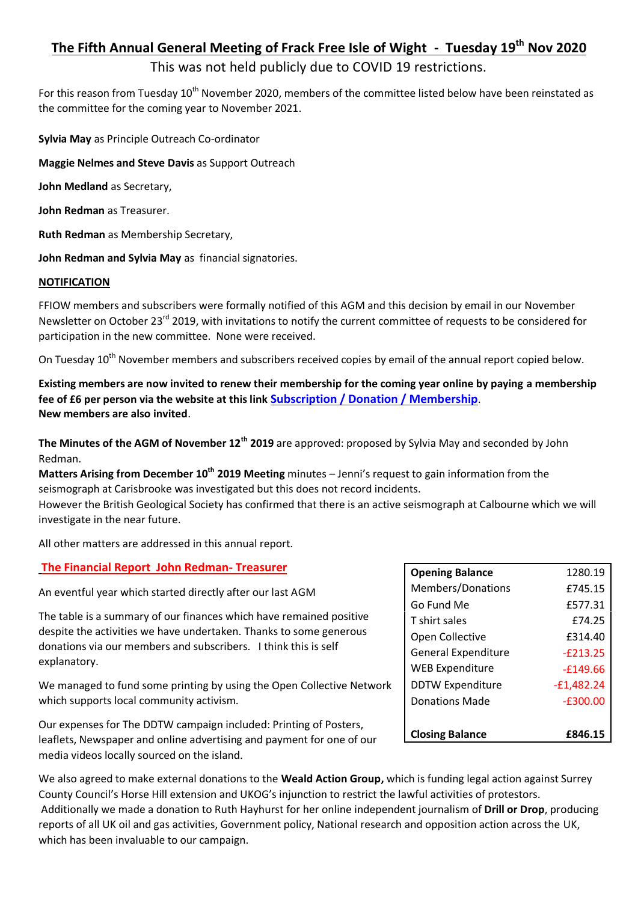# **The Fifth Annual General Meeting of Frack Free Isle of Wight - Tuesday 19th Nov 2020**

# This was not held publicly due to COVID 19 restrictions.

For this reason from Tuesday 10<sup>th</sup> November 2020, members of the committee listed below have been reinstated as the committee for the coming year to November 2021.

**Sylvia May** as Principle Outreach Co-ordinator

**Maggie Nelmes and Steve Davis** as Support Outreach

**John Medland** as Secretary,

**John Redman** as Treasurer.

**Ruth Redman** as Membership Secretary,

**John Redman and Sylvia May** as financial signatories.

#### **NOTIFICATION**

FFIOW members and subscribers were formally notified of this AGM and this decision by email in our November Newsletter on October 23<sup>rd</sup> 2019, with invitations to notify the current committee of requests to be considered for participation in the new committee. None were received.

On Tuesday 10<sup>th</sup> November members and subscribers received copies by email of the annual report copied below.

**Existing members are now invited to renew their membership for the coming year online by paying a membership fee of £6 per person via the website at this link [Subscription / Donation / Membership](https://www.dontdrillthewight.co.uk/subscribe-donate)**. **New members are also invited**.

**The Minutes of the AGM of November 12th 2019** are approved: proposed by Sylvia May and seconded by John Redman.

**Matters Arising from December 10th 2019 Meeting** minutes – Jenni's request to gain information from the seismograph at Carisbrooke was investigated but this does not record incidents.

However the British Geological Society has confirmed that there is an active seismograph at Calbourne which we will investigate in the near future.

All other matters are addressed in this annual report.

### **The Financial Report John Redman- Treasurer**

An eventful year which started directly after our last AGM

The table is a summary of our finances which have remained positive despite the activities we have undertaken. Thanks to some generous donations via our members and subscribers. I think this is self explanatory.

We managed to fund some printing by using the Open Collective Network which supports local community activism.

Our expenses for The DDTW campaign included: Printing of Posters, leaflets, Newspaper and online advertising and payment for one of our media videos locally sourced on the island.

| <b>Opening Balance</b>     | 1280.19    |
|----------------------------|------------|
| Members/Donations          | £745.15    |
| Go Fund Me                 | £577.31    |
| T shirt sales              | £74.25     |
| Open Collective            | £314.40    |
| <b>General Expenditure</b> | $-6213.25$ |
| <b>WEB Expenditure</b>     | $-6149.66$ |
| <b>DDTW Expenditure</b>    | -£1,482.24 |
| <b>Donations Made</b>      | $-£300.00$ |
|                            |            |
| <b>Closing Balance</b>     | £846.15    |

We also agreed to make external donations to the **Weald Action Group,** which is funding legal action against Surrey County Council's Horse Hill extension and UKOG's injunction to restrict the lawful activities of protestors. Additionally we made a donation to Ruth Hayhurst for her online independent journalism of **Drill or Drop**, producing reports of all UK oil and gas activities, Government policy, National research and opposition action across the UK, which has been invaluable to our campaign.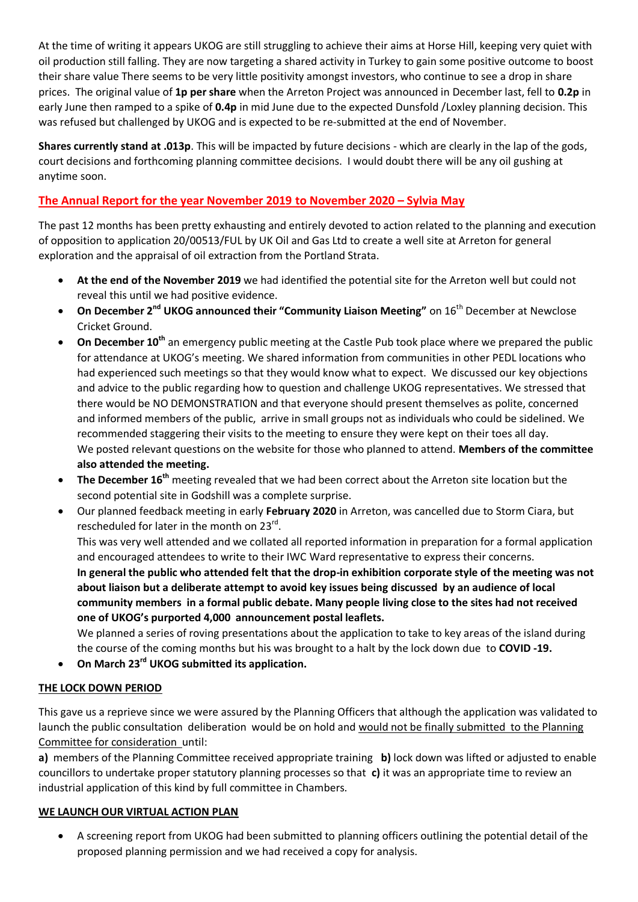At the time of writing it appears UKOG are still struggling to achieve their aims at Horse Hill, keeping very quiet with oil production still falling. They are now targeting a shared activity in Turkey to gain some positive outcome to boost their share value There seems to be very little positivity amongst investors, who continue to see a drop in share prices. The original value of **1p per share** when the Arreton Project was announced in December last, fell to **0.2p** in early June then ramped to a spike of **0.4p** in mid June due to the expected Dunsfold /Loxley planning decision. This was refused but challenged by UKOG and is expected to be re-submitted at the end of November.

**Shares currently stand at .013p**. This will be impacted by future decisions - which are clearly in the lap of the gods, court decisions and forthcoming planning committee decisions. I would doubt there will be any oil gushing at anytime soon.

## **The Annual Report for the year November 2019 to November 2020 – Sylvia May**

The past 12 months has been pretty exhausting and entirely devoted to action related to the planning and execution of opposition to application 20/00513/FUL by UK Oil and Gas Ltd to create a well site at Arreton for general exploration and the appraisal of oil extraction from the Portland Strata.

- **At the end of the November 2019** we had identified the potential site for the Arreton well but could not reveal this until we had positive evidence.
- **On December 2nd UKOG announced their "Community Liaison Meeting"** on 16th December at Newclose Cricket Ground.
- **On December 10th** an emergency public meeting at the Castle Pub took place where we prepared the public for attendance at UKOG's meeting. We shared information from communities in other PEDL locations who had experienced such meetings so that they would know what to expect. We discussed our key objections and advice to the public regarding how to question and challenge UKOG representatives. We stressed that there would be NO DEMONSTRATION and that everyone should present themselves as polite, concerned and informed members of the public, arrive in small groups not as individuals who could be sidelined. We recommended staggering their visits to the meeting to ensure they were kept on their toes all day. We posted relevant questions on the website for those who planned to attend. **Members of the committee also attended the meeting.**
- **The December 16th** meeting revealed that we had been correct about the Arreton site location but the second potential site in Godshill was a complete surprise.
- Our planned feedback meeting in early **February 2020** in Arreton, was cancelled due to Storm Ciara, but rescheduled for later in the month on 23<sup>rd</sup>. This was very well attended and we collated all reported information in preparation for a formal application and encouraged attendees to write to their IWC Ward representative to express their concerns. **In general the public who attended felt that the drop-in exhibition corporate style of the meeting was not about liaison but a deliberate attempt to avoid key issues being discussed by an audience of local community members in a formal public debate. Many people living close to the sites had not received**

**one of UKOG's purported 4,000 announcement postal leaflets.**  We planned a series of roving presentations about the application to take to key areas of the island during

the course of the coming months but his was brought to a halt by the lock down due to **COVID -19.**

**On March 23rd UKOG submitted its application.**

### **THE LOCK DOWN PERIOD**

This gave us a reprieve since we were assured by the Planning Officers that although the application was validated to launch the public consultation deliberation would be on hold and would not be finally submitted to the Planning Committee for consideration until:

**a)** members of the Planning Committee received appropriate training **b)** lock down was lifted or adjusted to enable councillors to undertake proper statutory planning processes so that **c)** it was an appropriate time to review an industrial application of this kind by full committee in Chambers.

### **WE LAUNCH OUR VIRTUAL ACTION PLAN**

 A screening report from UKOG had been submitted to planning officers outlining the potential detail of the proposed planning permission and we had received a copy for analysis.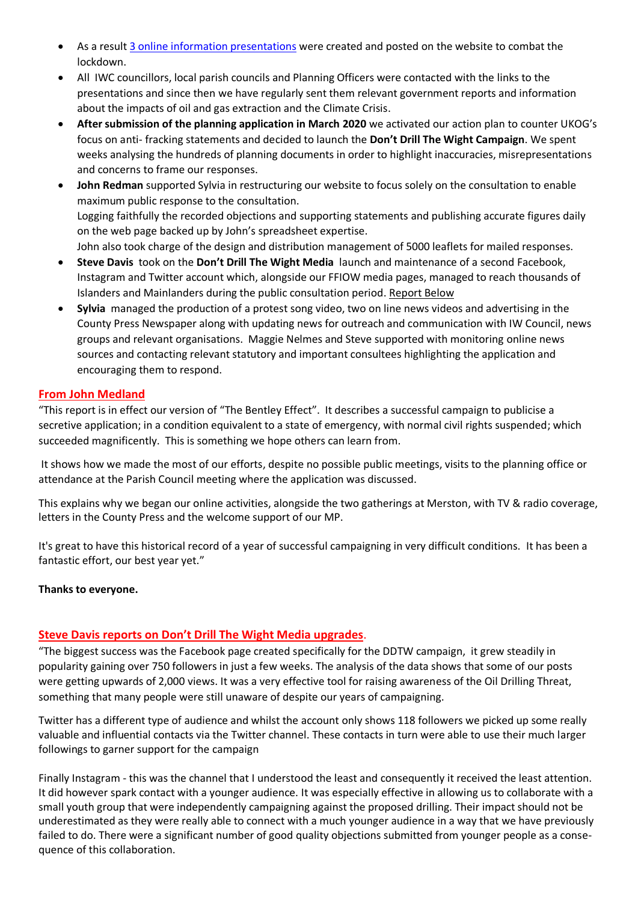- As a result [3 online information presentations](https://www.dontdrillthewight.co.uk/presentations) were created and posted on the website to combat the lockdown.
- All IWC councillors, local parish councils and Planning Officers were contacted with the links to the presentations and since then we have regularly sent them relevant government reports and information about the impacts of oil and gas extraction and the Climate Crisis.
- **After submission of the planning application in March 2020** we activated our action plan to counter UKOG's focus on anti- fracking statements and decided to launch the **Don't Drill The Wight Campaign**. We spent weeks analysing the hundreds of planning documents in order to highlight inaccuracies, misrepresentations and concerns to frame our responses.
- **John Redman** supported Sylvia in restructuring our website to focus solely on the consultation to enable maximum public response to the consultation. Logging faithfully the recorded objections and supporting statements and publishing accurate figures daily on the web page backed up by John's spreadsheet expertise. John also took charge of the design and distribution management of 5000 leaflets for mailed responses.
- **Steve Davis** took on the **Don't Drill The Wight Media** launch and maintenance of a second Facebook, Instagram and Twitter account which, alongside our FFIOW media pages, managed to reach thousands of Islanders and Mainlanders during the public consultation period. Report Below
- **Sylvia** managed the production of a protest song video, two on line news videos and advertising in the County Press Newspaper along with updating news for outreach and communication with IW Council, news groups and relevant organisations. Maggie Nelmes and Steve supported with monitoring online news sources and contacting relevant statutory and important consultees highlighting the application and encouraging them to respond.

### **From John Medland**

"This report is in effect our version of "The Bentley Effect". It describes a successful campaign to publicise a secretive application; in a condition equivalent to a state of emergency, with normal civil rights suspended; which succeeded magnificently. This is something we hope others can learn from.

It shows how we made the most of our efforts, despite no possible public meetings, visits to the planning office or attendance at the Parish Council meeting where the application was discussed.

This explains why we began our online activities, alongside the two gatherings at Merston, with TV & radio coverage, letters in the County Press and the welcome support of our MP.

It's great to have this historical record of a year of successful campaigning in very difficult conditions. It has been a fantastic effort, our best year yet."

### **Thanks to everyone.**

### **Steve Davis reports on Don't Drill The Wight Media upgrades**.

"The biggest success was the Facebook page created specifically for the DDTW campaign, it grew steadily in popularity gaining over 750 followers in just a few weeks. The analysis of the data shows that some of our posts were getting upwards of 2,000 views. It was a very effective tool for raising awareness of the Oil Drilling Threat, something that many people were still unaware of despite our years of campaigning.

Twitter has a different type of audience and whilst the account only shows 118 followers we picked up some really valuable and influential contacts via the Twitter channel. These contacts in turn were able to use their much larger followings to garner support for the campaign

Finally Instagram - this was the channel that I understood the least and consequently it received the least attention. It did however spark contact with a younger audience. It was especially effective in allowing us to collaborate with a small youth group that were independently campaigning against the proposed drilling. Their impact should not be underestimated as they were really able to connect with a much younger audience in a way that we have previously failed to do. There were a significant number of good quality objections submitted from younger people as a consequence of this collaboration.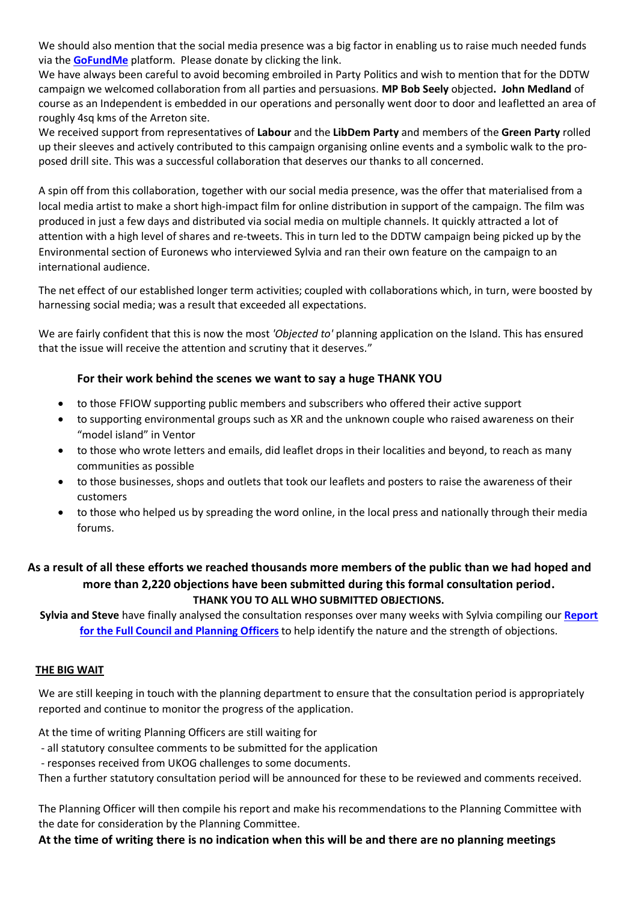We should also mention that the social media presence was a big factor in enabling us to raise much needed funds via the **[GoFundMe](https://www.gofundme.com/don039t-drill-the-wight/donate?utm_source=widget&utm_medium=referral&utm_campaign=p_cp+share-sheet)** platform. Please donate by clicking the link.

We have always been careful to avoid becoming embroiled in Party Politics and wish to mention that for the DDTW campaign we welcomed collaboration from all parties and persuasions. **MP Bob Seely** objected**. John Medland** of course as an Independent is embedded in our operations and personally went door to door and leafletted an area of roughly 4sq kms of the Arreton site.

We received support from representatives of **Labour** and the **LibDem Party** and members of the **Green Party** rolled up their sleeves and actively contributed to this campaign organising online events and a symbolic walk to the proposed drill site. This was a successful collaboration that deserves our thanks to all concerned.

A spin off from this collaboration, together with our social media presence, was the offer that materialised from a local media artist to make a short high-impact film for online distribution in support of the campaign. The film was produced in just a few days and distributed via social media on multiple channels. It quickly attracted a lot of attention with a high level of shares and re-tweets. This in turn led to the DDTW campaign being picked up by the Environmental section of Euronews who interviewed Sylvia and ran their own feature on the campaign to an international audience.

The net effect of our established longer term activities; coupled with collaborations which, in turn, were boosted by harnessing social media; was a result that exceeded all expectations.

We are fairly confident that this is now the most *'Objected to'* planning application on the Island. This has ensured that the issue will receive the attention and scrutiny that it deserves."

### **For their work behind the scenes we want to say a huge THANK YOU**

- to those FFIOW supporting public members and subscribers who offered their active support
- to supporting environmental groups such as XR and the unknown couple who raised awareness on their "model island" in Ventor
- to those who wrote letters and emails, did leaflet drops in their localities and beyond, to reach as many communities as possible
- to those businesses, shops and outlets that took our leaflets and posters to raise the awareness of their customers
- to those who helped us by spreading the word online, in the local press and nationally through their media forums.

## **As a result of all these efforts we reached thousands more members of the public than we had hoped and more than 2,220 objections have been submitted during this formal consultation period. THANK YOU TO ALL WHO SUBMITTED OBJECTIONS.**

**Sylvia and Steve** have finally analysed the consultation responses over many weeks with Sylvia compiling our **[Report](https://0f514b74-9474-4f50-9f21-e2a47e831cb8.filesusr.com/ugd/5b2419_71bd1530f5534992bd37cbd8bba9c6a4.pdf)  [for the Full Council and Planning Officers](https://0f514b74-9474-4f50-9f21-e2a47e831cb8.filesusr.com/ugd/5b2419_71bd1530f5534992bd37cbd8bba9c6a4.pdf)** to help identify the nature and the strength of objections.

### **THE BIG WAIT**

We are still keeping in touch with the planning department to ensure that the consultation period is appropriately reported and continue to monitor the progress of the application.

At the time of writing Planning Officers are still waiting for

- all statutory consultee comments to be submitted for the application

- responses received from UKOG challenges to some documents.

Then a further statutory consultation period will be announced for these to be reviewed and comments received.

The Planning Officer will then compile his report and make his recommendations to the Planning Committee with the date for consideration by the Planning Committee.

### **At the time of writing there is no indication when this will be and there are no planning meetings**